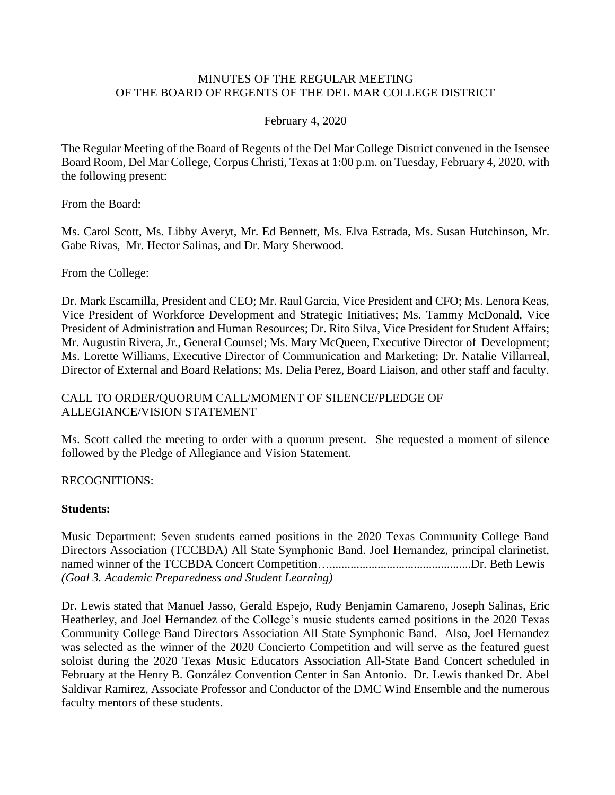### MINUTES OF THE REGULAR MEETING OF THE BOARD OF REGENTS OF THE DEL MAR COLLEGE DISTRICT

### February 4, 2020

The Regular Meeting of the Board of Regents of the Del Mar College District convened in the Isensee Board Room, Del Mar College, Corpus Christi, Texas at 1:00 p.m. on Tuesday, February 4, 2020, with the following present:

From the Board:

Ms. Carol Scott, Ms. Libby Averyt, Mr. Ed Bennett, Ms. Elva Estrada, Ms. Susan Hutchinson, Mr. Gabe Rivas, Mr. Hector Salinas, and Dr. Mary Sherwood.

From the College:

 Dr. Mark Escamilla, President and CEO; Mr. Raul Garcia, Vice President and CFO; Ms. Lenora Keas, Vice President of Workforce Development and Strategic Initiatives; Ms. Tammy McDonald, Vice Mr. Augustin Rivera, Jr., General Counsel; Ms. Mary McQueen, Executive Director of Development; Director of External and Board Relations; Ms. Delia Perez, Board Liaison, and other staff and faculty. President of Administration and Human Resources; Dr. Rito Silva, Vice President for Student Affairs; Ms. Lorette Williams, Executive Director of Communication and Marketing; Dr. Natalie Villarreal,

## CALL TO ORDER/QUORUM CALL/MOMENT OF SILENCE/PLEDGE OF ALLEGIANCE/VISION STATEMENT

 Ms. Scott called the meeting to order with a quorum present. She requested a moment of silence followed by the Pledge of Allegiance and Vision Statement.

## RECOGNITIONS:

### **Students:**

 Music Department: Seven students earned positions in the 2020 Texas Community College Band Directors Association (TCCBDA) All State Symphonic Band. Joel Hernandez, principal clarinetist, named winner of the TCCBDA Concert [Competition…...............................................Dr.](https://Competition�...............................................Dr) Beth Lewis *(Goal 3. Academic Preparedness and Student Learning)* 

 Heatherley, and Joel Hernandez of the College's music students earned positions in the 2020 Texas Community College Band Directors Association All State Symphonic Band. Also, Joel Hernandez was selected as the winner of the 2020 Concierto Competition and will serve as the featured guest February at the Henry B. González Convention Center in San Antonio. Dr. Lewis thanked Dr. Abel Dr. Lewis stated that Manuel Jasso, Gerald Espejo, Rudy Benjamin Camareno, Joseph Salinas, Eric soloist during the 2020 Texas Music Educators Association All-State Band Concert scheduled in Saldivar Ramirez, Associate Professor and Conductor of the DMC Wind Ensemble and the numerous faculty mentors of these students.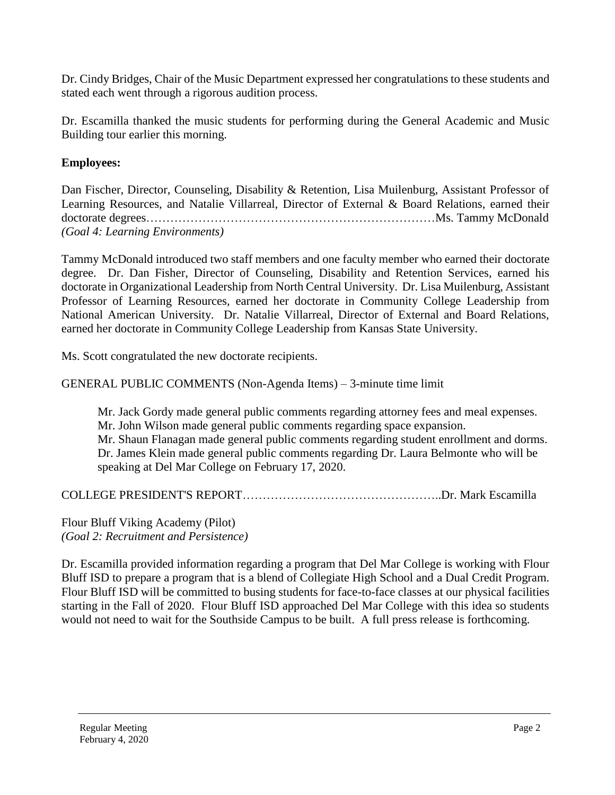Dr. Cindy Bridges, Chair of the Music Department expressed her congratulations to these students and stated each went through a rigorous audition process.

 Dr. Escamilla thanked the music students for performing during the General Academic and Music Building tour earlier this morning.

# **Employees:**

 Dan Fischer, Director, Counseling, Disability & Retention, Lisa Muilenburg, Assistant Professor of Learning Resources, and Natalie Villarreal, Director of External & Board Relations, earned their doctorate degrees………………………………………………………………Ms. Tammy McDonald *(Goal 4: Learning Environments)* 

 Tammy McDonald introduced two staff members and one faculty member who earned their doctorate degree. Dr. Dan Fisher, Director of Counseling, Disability and Retention Services, earned his Professor of Learning Resources, earned her doctorate in Community College Leadership from doctorate in Organizational Leadership from North Central University. Dr. Lisa Muilenburg, Assistant National American University. Dr. Natalie Villarreal, Director of External and Board Relations, earned her doctorate in Community College Leadership from Kansas State University.

Ms. Scott congratulated the new doctorate recipients.

GENERAL PUBLIC COMMENTS (Non-Agenda Items) – 3-minute time limit

 Dr. James Klein made general public comments regarding Dr. Laura Belmonte who will be Mr. Jack Gordy made general public comments regarding attorney fees and meal expenses. Mr. John Wilson made general public comments regarding space expansion. Mr. Shaun Flanagan made general public comments regarding student enrollment and dorms. speaking at Del Mar College on February 17, 2020.

COLLEGE PRESIDENT'S [REPORT…………………………………………..Dr](https://REPORT����������������..Dr). Mark Escamilla

Flour Bluff Viking Academy (Pilot) *(Goal 2: Recruitment and Persistence)* 

 Dr. Escamilla provided information regarding a program that Del Mar College is working with Flour Bluff ISD to prepare a program that is a blend of Collegiate High School and a Dual Credit Program. Flour Bluff ISD will be committed to busing students for face-to-face classes at our physical facilities starting in the Fall of 2020. Flour Bluff ISD approached Del Mar College with this idea so students would not need to wait for the Southside Campus to be built. A full press release is forthcoming.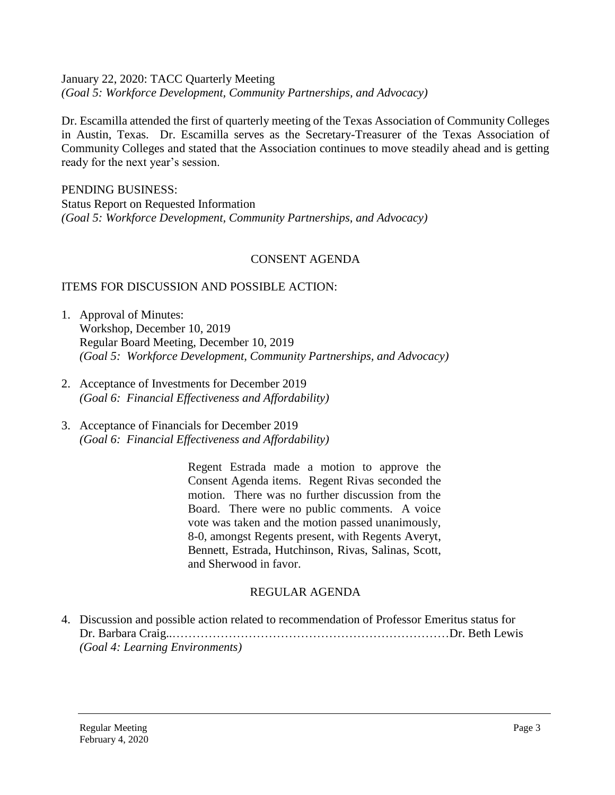January 22, 2020: TACC Quarterly Meeting *(Goal 5: Workforce Development, Community Partnerships, and Advocacy)* 

 Dr. Escamilla attended the first of quarterly meeting of the Texas Association of Community Colleges Community Colleges and stated that the Association continues to move steadily ahead and is getting in Austin, Texas. Dr. Escamilla serves as the Secretary-Treasurer of the Texas Association of ready for the next year's session.

PENDING BUSINESS: Status Report on Requested Information *(Goal 5: Workforce Development, Community Partnerships, and Advocacy)* 

## CONSENT AGENDA

## ITEMS FOR DISCUSSION AND POSSIBLE ACTION:

- 1. Approval of Minutes: Workshop, December 10, 2019 Regular Board Meeting, December 10, 2019 *(Goal 5: Workforce Development, Community Partnerships, and Advocacy)*
- 2. Acceptance of Investments for December 2019 *(Goal 6: Financial Effectiveness and Affordability)*
- 3. Acceptance of Financials for December 2019 *(Goal 6: Financial Effectiveness and Affordability)*

 Regent Estrada made a motion to approve the Consent Agenda items. Regent Rivas seconded the motion. There was no further discussion from the Board. There were no public comments. A voice vote was taken and the motion passed unanimously, 8-0, amongst Regents present, with Regents Averyt, Bennett, Estrada, Hutchinson, Rivas, Salinas, Scott, and Sherwood in favor.

### REGULAR AGENDA

 4. Discussion and possible action related to recommendation of Professor Emeritus status for Dr. Barbara Craig..……………………………………………………………Dr. Beth Lewis *(Goal 4: Learning Environments)*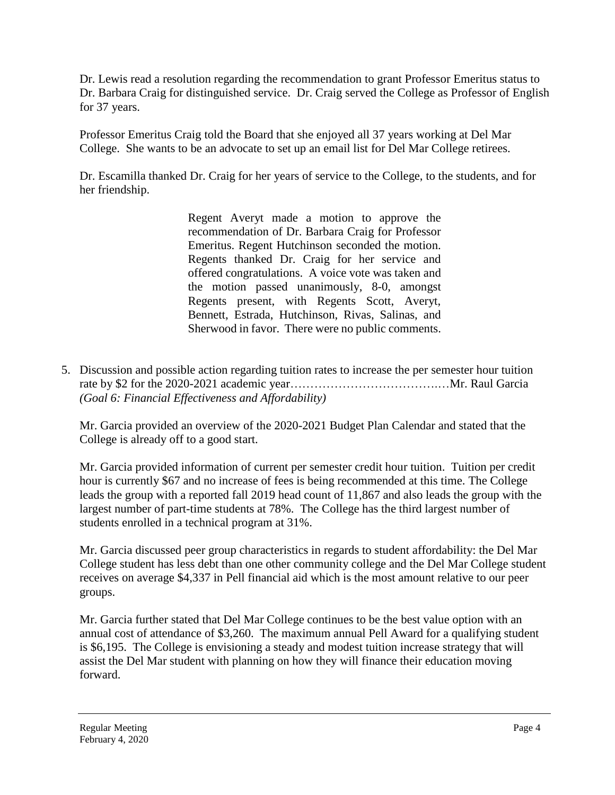Dr. Lewis read a resolution regarding the recommendation to grant Professor Emeritus status to Dr. Barbara Craig for distinguished service. Dr. Craig served the College as Professor of English for 37 years.

Professor Emeritus Craig told the Board that she enjoyed all 37 years working at Del Mar College. She wants to be an advocate to set up an email list for Del Mar College retirees.

Dr. Escamilla thanked Dr. Craig for her years of service to the College, to the students, and for her friendship.

> Regent Averyt made a motion to approve the Regents thanked Dr. Craig for her service and Sherwood in favor. There were no public comments. recommendation of Dr. Barbara Craig for Professor Emeritus. Regent Hutchinson seconded the motion. offered congratulations. A voice vote was taken and the motion passed unanimously, 8-0, amongst Regents present, with Regents Scott, Averyt, Bennett, Estrada, Hutchinson, Rivas, Salinas, and

5. Discussion and possible action regarding tuition rates to increase the per semester hour tuition rate by \$2 for the 2020-2021 academic year……………………………….…Mr. Raul Garcia *(Goal 6: Financial Effectiveness and Affordability)* 

Mr. Garcia provided an overview of the 2020-2021 Budget Plan Calendar and stated that the College is already off to a good start.

Mr. Garcia provided information of current per semester credit hour tuition. Tuition per credit hour is currently \$67 and no increase of fees is being recommended at this time. The College leads the group with a reported fall 2019 head count of 11,867 and also leads the group with the largest number of part-time students at 78%. The College has the third largest number of students enrolled in a technical program at 31%.

 College student has less debt than one other community college and the Del Mar College student Mr. Garcia discussed peer group characteristics in regards to student affordability: the Del Mar receives on average \$4,337 in Pell financial aid which is the most amount relative to our peer groups.

Mr. Garcia further stated that Del Mar College continues to be the best value option with an annual cost of attendance of \$3,260. The maximum annual Pell Award for a qualifying student is \$6,195. The College is envisioning a steady and modest tuition increase strategy that will assist the Del Mar student with planning on how they will finance their education moving forward.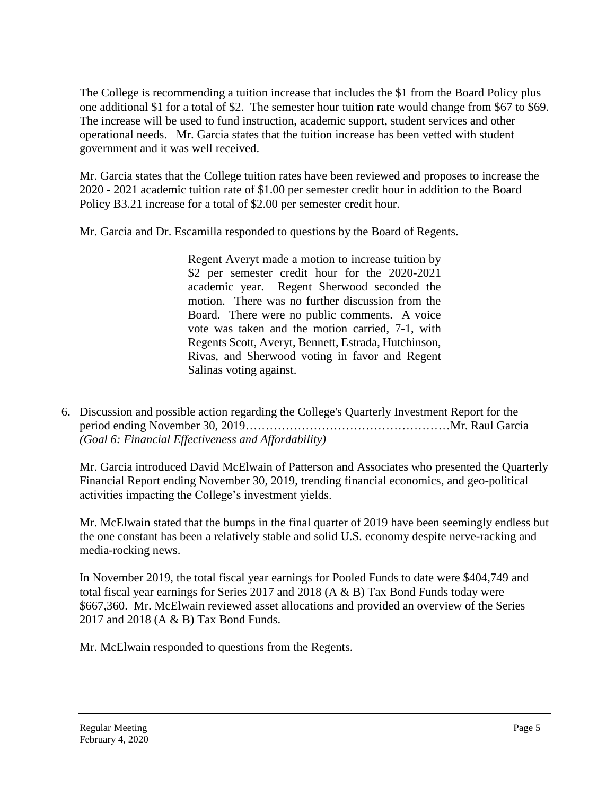operational needs. Mr. Garcia states that the tuition increase has been vetted with student The College is recommending a tuition increase that includes the \$1 from the Board Policy plus one additional \$1 for a total of \$2. The semester hour tuition rate would change from \$67 to \$69. The increase will be used to fund instruction, academic support, student services and other government and it was well received.

Mr. Garcia states that the College tuition rates have been reviewed and proposes to increase the 2020 - 2021 academic tuition rate of \$1.00 per semester credit hour in addition to the Board Policy B3.21 increase for a total of \$2.00 per semester credit hour.

Mr. Garcia and Dr. Escamilla responded to questions by the Board of Regents.

 Regent Averyt made a motion to increase tuition by \$2 per semester credit hour for the 2020-2021 motion. There was no further discussion from the Board. There were no public comments. A voice academic year. Regent Sherwood seconded the vote was taken and the motion carried, 7-1, with Regents Scott, Averyt, Bennett, Estrada, Hutchinson, Rivas, and Sherwood voting in favor and Regent Salinas voting against.

6. Discussion and possible action regarding the College's Quarterly Investment Report for the period ending November 30, 2019……………………………………………Mr. Raul Garcia *(Goal 6: Financial Effectiveness and Affordability)* 

 Mr. Garcia introduced David McElwain of Patterson and Associates who presented the Quarterly Financial Report ending November 30, 2019, trending financial economics, and geo-political activities impacting the College's investment yields.

Mr. McElwain stated that the bumps in the final quarter of 2019 have been seemingly endless but the one constant has been a relatively stable and solid U.S. economy despite nerve-racking and media-rocking news.

In November 2019, the total fiscal year earnings for Pooled Funds to date were \$404,749 and total fiscal year earnings for Series 2017 and 2018 (A & B) Tax Bond Funds today were \$667,360. Mr. McElwain reviewed asset allocations and provided an overview of the Series 2017 and 2018 (A & B) Tax Bond Funds.

Mr. McElwain responded to questions from the Regents.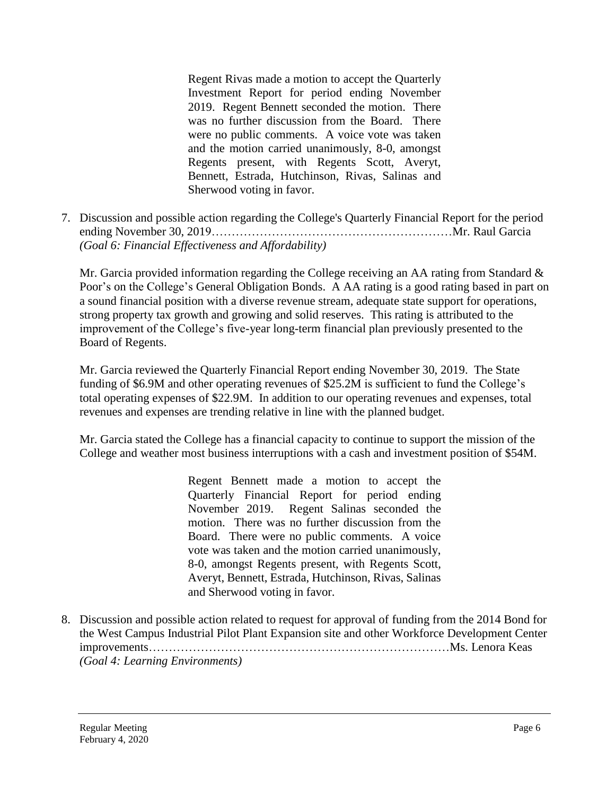Regent Rivas made a motion to accept the Quarterly 2019. Regent Bennett seconded the motion. There was no further discussion from the Board. There were no public comments. A voice vote was taken Investment Report for period ending November and the motion carried unanimously, 8-0, amongst Regents present, with Regents Scott, Averyt, Bennett, Estrada, Hutchinson, Rivas, Salinas and Sherwood voting in favor.

7. Discussion and possible action regarding the College's Quarterly Financial Report for the period ending November 30, 2019……………………………………………………Mr. Raul Garcia *(Goal 6: Financial Effectiveness and Affordability)* 

Mr. Garcia provided information regarding the College receiving an AA rating from Standard & Poor's on the College's General Obligation Bonds. A AA rating is a good rating based in part on a sound financial position with a diverse revenue stream, adequate state support for operations, strong property tax growth and growing and solid reserves. This rating is attributed to the improvement of the College's five-year long-term financial plan previously presented to the Board of Regents.

 Mr. Garcia reviewed the Quarterly Financial Report ending November 30, 2019. The State total operating expenses of \$22.9M. In addition to our operating revenues and expenses, total revenues and expenses are trending relative in line with the planned budget. funding of \$6.9M and other operating revenues of \$25.2M is sufficient to fund the College's

Mr. Garcia stated the College has a financial capacity to continue to support the mission of the College and weather most business interruptions with a cash and investment position of \$54M.

> Regent Bennett made a motion to accept the motion. There was no further discussion from the Board. There were no public comments. A voice Quarterly Financial Report for period ending November 2019. Regent Salinas seconded the vote was taken and the motion carried unanimously, 8-0, amongst Regents present, with Regents Scott, Averyt, Bennett, Estrada, Hutchinson, Rivas, Salinas and Sherwood voting in favor.

8. Discussion and possible action related to request for approval of funding from the 2014 Bond for the West Campus Industrial Pilot Plant Expansion site and other Workforce Development Center improvements…………………………………………………………………Ms. Lenora Keas *(Goal 4: Learning Environments)*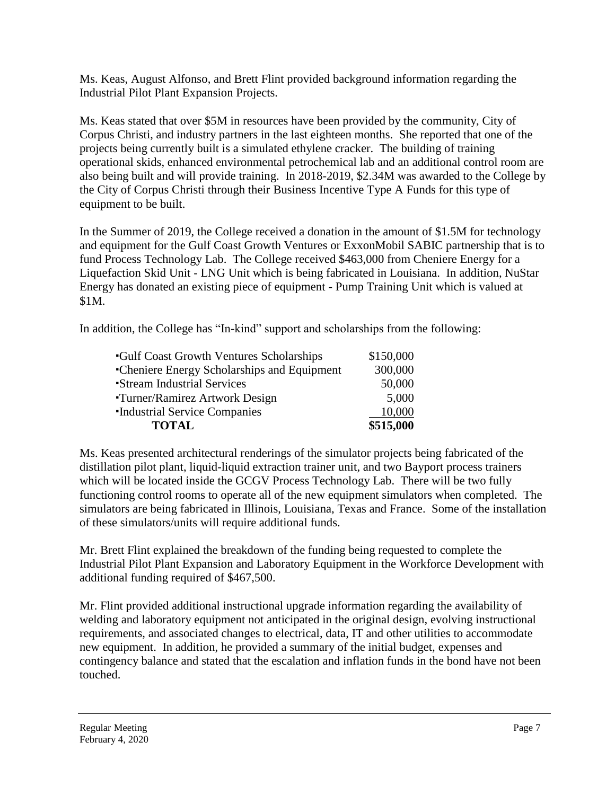Ms. Keas, August Alfonso, and Brett Flint provided background information regarding the Industrial Pilot Plant Expansion Projects.

Ms. Keas stated that over \$5M in resources have been provided by the community, City of Corpus Christi, and industry partners in the last eighteen months. She reported that one of the projects being currently built is a simulated ethylene cracker. The building of training operational skids, enhanced environmental petrochemical lab and an additional control room are also being built and will provide training. In 2018-2019, \$2.34M was awarded to the College by the City of Corpus Christi through their Business Incentive Type A Funds for this type of equipment to be built.

 In the Summer of 2019, the College received a donation in the amount of \$1.5M for technology fund Process Technology Lab. The College received \$463,000 from Cheniere Energy for a and equipment for the Gulf Coast Growth Ventures or ExxonMobil SABIC partnership that is to Liquefaction Skid Unit - LNG Unit which is being fabricated in Louisiana. In addition, NuStar Energy has donated an existing piece of equipment - Pump Training Unit which is valued at \$1M.

In addition, the College has "In-kind" support and scholarships from the following:

| <b>Gulf Coast Growth Ventures Scholarships</b> | \$150,000 |
|------------------------------------------------|-----------|
| •Cheniere Energy Scholarships and Equipment    | 300,000   |
| <b>Stream Industrial Services</b>              | 50,000    |
| Turner/Ramirez Artwork Design                  | 5,000     |
| <b>Industrial Service Companies</b>            | 10,000    |
| <b>TOTAL</b>                                   | \$515,000 |

Ms. Keas presented architectural renderings of the simulator projects being fabricated of the distillation pilot plant, liquid-liquid extraction trainer unit, and two Bayport process trainers which will be located inside the GCGV Process Technology Lab. There will be two fully functioning control rooms to operate all of the new equipment simulators when completed. The simulators are being fabricated in Illinois, Louisiana, Texas and France. Some of the installation of these simulators/units will require additional funds.

Mr. Brett Flint explained the breakdown of the funding being requested to complete the Industrial Pilot Plant Expansion and Laboratory Equipment in the Workforce Development with additional funding required of \$467,500.

Mr. Flint provided additional instructional upgrade information regarding the availability of welding and laboratory equipment not anticipated in the original design, evolving instructional requirements, and associated changes to electrical, data, IT and other utilities to accommodate new equipment. In addition, he provided a summary of the initial budget, expenses and contingency balance and stated that the escalation and inflation funds in the bond have not been touched.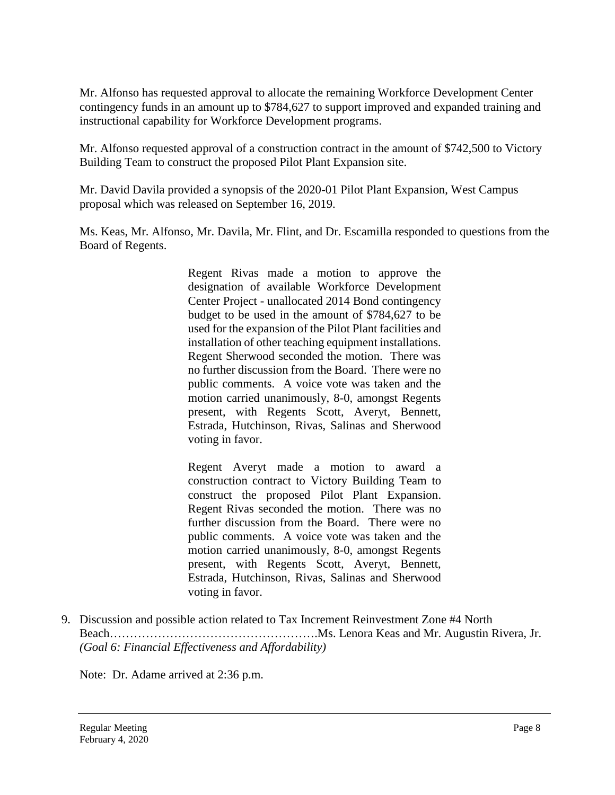Mr. Alfonso has requested approval to allocate the remaining Workforce Development Center contingency funds in an amount up to \$784,627 to support improved and expanded training and instructional capability for Workforce Development programs.

Mr. Alfonso requested approval of a construction contract in the amount of \$742,500 to Victory Building Team to construct the proposed Pilot Plant Expansion site.

Mr. David Davila provided a synopsis of the 2020-01 Pilot Plant Expansion, West Campus proposal which was released on September 16, 2019.

Ms. Keas, Mr. Alfonso, Mr. Davila, Mr. Flint, and Dr. Escamilla responded to questions from the Board of Regents.

> Regent Rivas made a motion to approve the designation of available Workforce Development budget to be used in the amount of \$784,627 to be installation of other teaching equipment installations. Regent Sherwood seconded the motion. There was no further discussion from the Board. There were no public comments. A voice vote was taken and the present, with Regents Scott, Averyt, Bennett, Center Project - unallocated 2014 Bond contingency used for the expansion of the Pilot Plant facilities and motion carried unanimously, 8-0, amongst Regents Estrada, Hutchinson, Rivas, Salinas and Sherwood voting in favor.

> Regent Averyt made a motion to award a construct the proposed Pilot Plant Expansion. Regent Rivas seconded the motion. There was no further discussion from the Board. There were no public comments. A voice vote was taken and the present, with Regents Scott, Averyt, Bennett, construction contract to Victory Building Team to motion carried unanimously, 8-0, amongst Regents Estrada, Hutchinson, Rivas, Salinas and Sherwood voting in favor.

9. Discussion and possible action related to Tax Increment Reinvestment Zone #4 North [Beach…………………………………………….Ms.](https://Beach�����������������.Ms) Lenora Keas and Mr. Augustin Rivera, Jr. *(Goal 6: Financial Effectiveness and Affordability)* 

Note: Dr. Adame arrived at 2:36 p.m.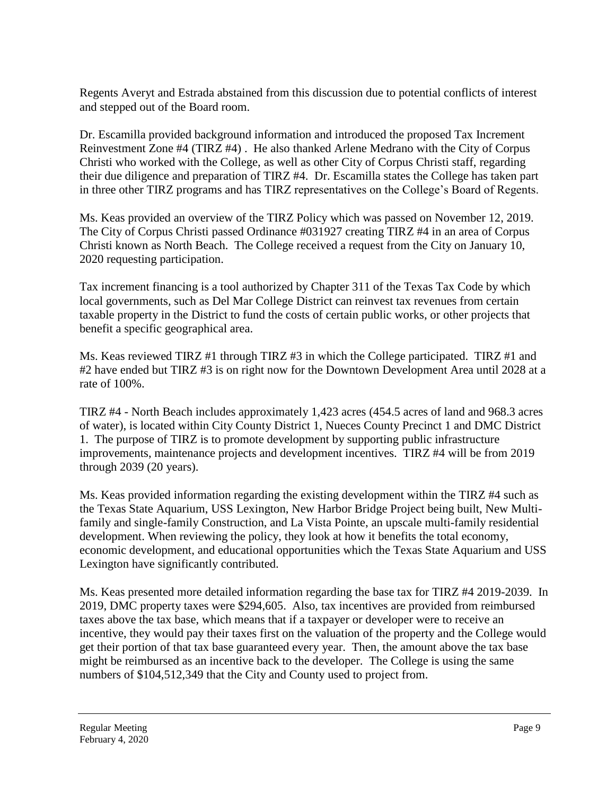Regents Averyt and Estrada abstained from this discussion due to potential conflicts of interest and stepped out of the Board room.

Dr. Escamilla provided background information and introduced the proposed Tax Increment Reinvestment Zone #4 (TIRZ #4) . He also thanked Arlene Medrano with the City of Corpus Christi who worked with the College, as well as other City of Corpus Christi staff, regarding their due diligence and preparation of TIRZ #4. Dr. Escamilla states the College has taken part in three other TIRZ programs and has TIRZ representatives on the College's Board of Regents.

Ms. Keas provided an overview of the TIRZ Policy which was passed on November 12, 2019. The City of Corpus Christi passed Ordinance #031927 creating TIRZ #4 in an area of Corpus Christi known as North Beach. The College received a request from the City on January 10, 2020 requesting participation.

Tax increment financing is a tool authorized by Chapter 311 of the Texas Tax Code by which local governments, such as Del Mar College District can reinvest tax revenues from certain taxable property in the District to fund the costs of certain public works, or other projects that benefit a specific geographical area.

rate of 100%. Ms. Keas reviewed TIRZ #1 through TIRZ #3 in which the College participated. TIRZ #1 and #2 have ended but TIRZ #3 is on right now for the Downtown Development Area until 2028 at a

TIRZ  $#4$  - North Beach includes approximately 1,423 acres (454.5 acres of land and 968.3 acres of water), is located within City County District 1, Nueces County Precinct 1 and DMC District 1. The purpose of TIRZ is to promote development by supporting public infrastructure improvements, maintenance projects and development incentives. TIRZ #4 will be from 2019 through 2039 (20 years).

Ms. Keas provided information regarding the existing development within the TIRZ #4 such as the Texas State Aquarium, USS Lexington, New Harbor Bridge Project being built, New Multifamily and single-family Construction, and La Vista Pointe, an upscale multi-family residential development. When reviewing the policy, they look at how it benefits the total economy, economic development, and educational opportunities which the Texas State Aquarium and USS Lexington have significantly contributed.

 numbers of \$104,512,349 that the City and County used to project from. Ms. Keas presented more detailed information regarding the base tax for TIRZ #4 2019-2039. In 2019, DMC property taxes were \$294,605. Also, tax incentives are provided from reimbursed taxes above the tax base, which means that if a taxpayer or developer were to receive an incentive, they would pay their taxes first on the valuation of the property and the College would get their portion of that tax base guaranteed every year. Then, the amount above the tax base might be reimbursed as an incentive back to the developer. The College is using the same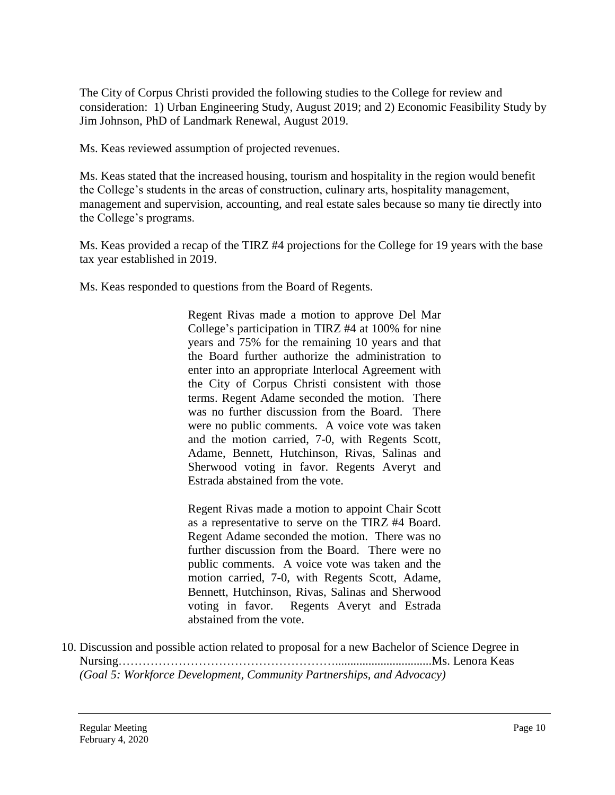The City of Corpus Christi provided the following studies to the College for review and consideration: 1) Urban Engineering Study, August 2019; and 2) Economic Feasibility Study by Jim Johnson, PhD of Landmark Renewal, August 2019.

Ms. Keas reviewed assumption of projected revenues.

 the College's programs. Ms. Keas stated that the increased housing, tourism and hospitality in the region would benefit the College's students in the areas of construction, culinary arts, hospitality management, management and supervision, accounting, and real estate sales because so many tie directly into

Ms. Keas provided a recap of the TIRZ #4 projections for the College for 19 years with the base tax year established in 2019.

Ms. Keas responded to questions from the Board of Regents.

 Regent Rivas made a motion to approve Del Mar College's participation in TIRZ #4 at 100% for nine years and 75% for the remaining 10 years and that terms. Regent Adame seconded the motion. There was no further discussion from the Board. There were no public comments. A voice vote was taken the Board further authorize the administration to enter into an appropriate Interlocal Agreement with the City of Corpus Christi consistent with those and the motion carried, 7-0, with Regents Scott, Adame, Bennett, Hutchinson, Rivas, Salinas and Sherwood voting in favor. Regents Averyt and Estrada abstained from the vote.

 Regent Rivas made a motion to appoint Chair Scott as a representative to serve on the TIRZ #4 Board. Regent Adame seconded the motion. There was no further discussion from the Board. There were no public comments. A voice vote was taken and the voting in favor. motion carried, 7-0, with Regents Scott, Adame, Bennett, Hutchinson, Rivas, Salinas and Sherwood Regents Averyt and Estrada abstained from the vote.

10. Discussion and possible action related to proposal for a new Bachelor of Science Degree in [Nursing………………………………………………................................Ms](https://Nursing������������������................................Ms). Lenora Keas *(Goal 5: Workforce Development, Community Partnerships, and Advocacy)*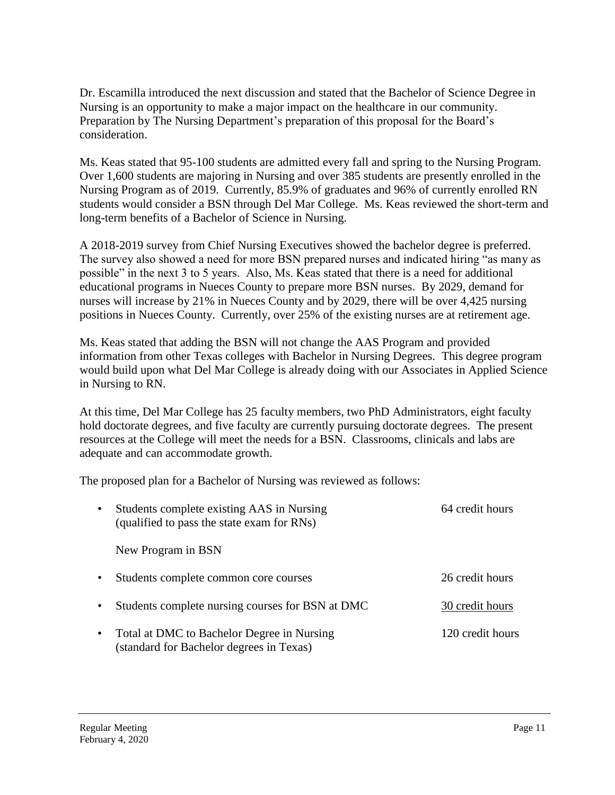Nursing is an opportunity to make a major impact on the healthcare in our community. Dr. Escamilla introduced the next discussion and stated that the Bachelor of Science Degree in Preparation by The Nursing Department's preparation of this proposal for the Board's consideration.

Ms. Keas stated that 95-100 students are admitted every fall and spring to the Nursing Program. Over 1,600 students are majoring in Nursing and over 385 students are presently enrolled in the Nursing Program as of 2019. Currently, 85.9% of graduates and 96% of currently enrolled RN students would consider a BSN through Del Mar College. Ms. Keas reviewed the short-term and long-term benefits of a Bachelor of Science in Nursing.

A 2018-2019 survey from Chief Nursing Executives showed the bachelor degree is preferred. The survey also showed a need for more BSN prepared nurses and indicated hiring "as many as possible" in the next 3 to 5 years. Also, Ms. Keas stated that there is a need for additional educational programs in Nueces County to prepare more BSN nurses. By 2029, demand for nurses will increase by 21% in Nueces County and by 2029, there will be over 4,425 nursing positions in Nueces County. Currently, over 25% of the existing nurses are at retirement age.

Ms. Keas stated that adding the BSN will not change the AAS Program and provided information from other Texas colleges with Bachelor in Nursing Degrees. This degree program would build upon what Del Mar College is already doing with our Associates in Applied Science in Nursing to RN.

 hold doctorate degrees, and five faculty are currently pursuing doctorate degrees. The present resources at the College will meet the needs for a BSN. Classrooms, clinicals and labs are At this time, Del Mar College has 25 faculty members, two PhD Administrators, eight faculty adequate and can accommodate growth.

The proposed plan for a Bachelor of Nursing was reviewed as follows:

| $\bullet$ | Students complete existing AAS in Nursing<br>(qualified to pass the state exam for RNs) | 64 credit hours  |
|-----------|-----------------------------------------------------------------------------------------|------------------|
|           | New Program in BSN                                                                      |                  |
| $\bullet$ | Students complete common core courses                                                   | 26 credit hours  |
| $\bullet$ | Students complete nursing courses for BSN at DMC                                        | 30 credit hours  |
| $\bullet$ | Total at DMC to Bachelor Degree in Nursing<br>(standard for Bachelor degrees in Texas)  | 120 credit hours |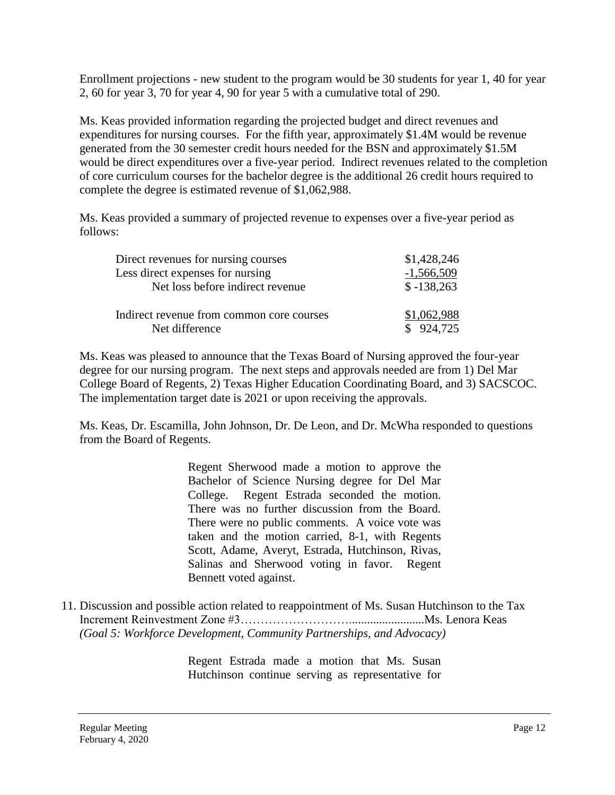Enrollment projections - new student to the program would be 30 students for year 1, 40 for year 2, 60 for year 3, 70 for year 4, 90 for year 5 with a cumulative total of 290.

Ms. Keas provided information regarding the projected budget and direct revenues and expenditures for nursing courses. For the fifth year, approximately \$1.4M would be revenue generated from the 30 semester credit hours needed for the BSN and approximately \$1.5M would be direct expenditures over a five-year period. Indirect revenues related to the completion of core curriculum courses for the bachelor degree is the additional 26 credit hours required to complete the degree is estimated revenue of \$1,062,988.

Ms. Keas provided a summary of projected revenue to expenses over a five-year period as follows:

| Direct revenues for nursing courses       | \$1,428,246  |  |
|-------------------------------------------|--------------|--|
| Less direct expenses for nursing          | $-1,566,509$ |  |
| Net loss before indirect revenue          | $$ -138,263$ |  |
| Indirect revenue from common core courses | \$1,062,988  |  |
| Net difference                            | \$924,725    |  |

Ms. Keas was pleased to announce that the Texas Board of Nursing approved the four-year degree for our nursing program. The next steps and approvals needed are from 1) Del Mar College Board of Regents, 2) Texas Higher Education Coordinating Board, and 3) SACSCOC. The implementation target date is 2021 or upon receiving the approvals.

Ms. Keas, Dr. Escamilla, John Johnson, Dr. De Leon, and Dr. McWha responded to questions from the Board of Regents.

> Regent Sherwood made a motion to approve the Bachelor of Science Nursing degree for Del Mar There were no public comments. A voice vote was Salinas and Sherwood voting in favor. Regent College. Regent Estrada seconded the motion. There was no further discussion from the Board. taken and the motion carried, 8-1, with Regents Scott, Adame, Averyt, Estrada, Hutchinson, Rivas, Bennett voted against.

11. Discussion and possible action related to reappointment of Ms. Susan Hutchinson to the Tax Increment Reinvestment Zone [#3……………………….........................Ms.](https://3���������.........................Ms) Lenora Keas *(Goal 5: Workforce Development, Community Partnerships, and Advocacy)* 

> Regent Estrada made a motion that Ms. Susan Hutchinson continue serving as representative for